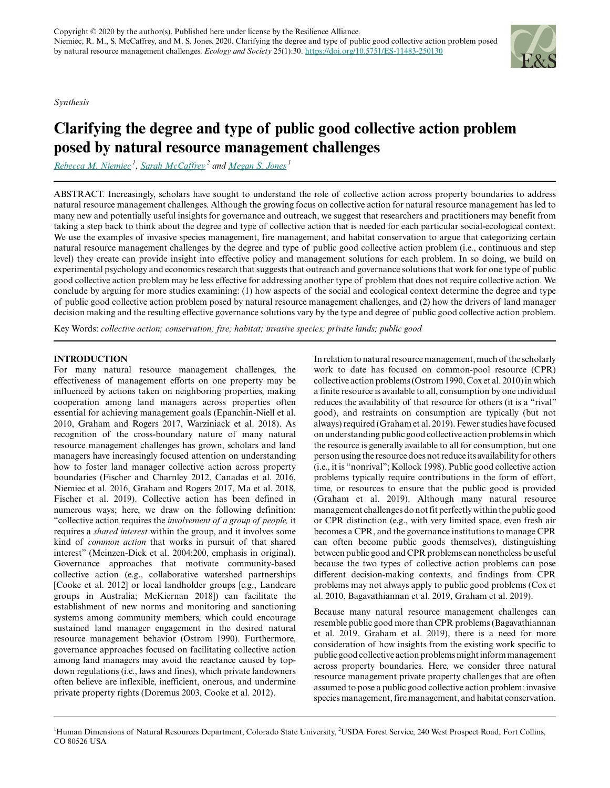*Synthesis*



# **Clarifying the degree and type of public good collective action problem posed by natural resource management challenges**

*[Rebecca M. Niemiec](mailto:rebecca.niemiec@colostate.edu)<sup>1</sup>* , *[Sarah McCaffrey](mailto:sarah.m.mccaffrey@usda.gov)<sup>2</sup> and [Megan S. Jones](mailto:ms.jones@colostate.edu)<sup>1</sup>*

ABSTRACT. Increasingly, scholars have sought to understand the role of collective action across property boundaries to address natural resource management challenges. Although the growing focus on collective action for natural resource management has led to many new and potentially useful insights for governance and outreach, we suggest that researchers and practitioners may benefit from taking a step back to think about the degree and type of collective action that is needed for each particular social-ecological context. We use the examples of invasive species management, fire management, and habitat conservation to argue that categorizing certain natural resource management challenges by the degree and type of public good collective action problem (i.e., continuous and step level) they create can provide insight into effective policy and management solutions for each problem. In so doing, we build on experimental psychology and economics research that suggests that outreach and governance solutions that work for one type of public good collective action problem may be less effective for addressing another type of problem that does not require collective action. We conclude by arguing for more studies examining: (1) how aspects of the social and ecological context determine the degree and type of public good collective action problem posed by natural resource management challenges, and (2) how the drivers of land manager decision making and the resulting effective governance solutions vary by the type and degree of public good collective action problem.

Key Words: *collective action; conservation; fire; habitat; invasive species; private lands; public good*

# **INTRODUCTION**

For many natural resource management challenges, the effectiveness of management efforts on one property may be influenced by actions taken on neighboring properties, making cooperation among land managers across properties often essential for achieving management goals (Epanchin-Niell et al. 2010, Graham and Rogers 2017, Warziniack et al. 2018). As recognition of the cross-boundary nature of many natural resource management challenges has grown, scholars and land managers have increasingly focused attention on understanding how to foster land manager collective action across property boundaries (Fischer and Charnley 2012, Canadas et al. 2016, Niemiec et al. 2016, Graham and Rogers 2017, Ma et al. 2018, Fischer et al. 2019). Collective action has been defined in numerous ways; here, we draw on the following definition: "collective action requires the *involvement of a group of people,* it requires a *shared interest* within the group, and it involves some kind of *common action* that works in pursuit of that shared interest" (Meinzen-Dick et al. 2004:200, emphasis in original). Governance approaches that motivate community-based collective action (e.g., collaborative watershed partnerships [Cooke et al. 2012] or local landholder groups [e.g., Landcare groups in Australia; McKiernan 2018]) can facilitate the establishment of new norms and monitoring and sanctioning systems among community members, which could encourage sustained land manager engagement in the desired natural resource management behavior (Ostrom 1990). Furthermore, governance approaches focused on facilitating collective action among land managers may avoid the reactance caused by topdown regulations (i.e., laws and fines), which private landowners often believe are inflexible, inefficient, onerous, and undermine private property rights (Doremus 2003, Cooke et al. 2012).

In relation to natural resource management, much of the scholarly work to date has focused on common-pool resource (CPR) collective action problems (Ostrom 1990, Cox et al. 2010) in which a finite resource is available to all, consumption by one individual reduces the availability of that resource for others (it is a "rival" good), and restraints on consumption are typically (but not always) required (Graham et al. 2019). Fewer studies have focused on understanding public good collective action problems in which the resource is generally available to all for consumption, but one person using the resource does not reduce its availability for others (i.e., it is "nonrival"; Kollock 1998). Public good collective action problems typically require contributions in the form of effort, time, or resources to ensure that the public good is provided (Graham et al. 2019). Although many natural resource management challenges do not fit perfectly within the public good or CPR distinction (e.g., with very limited space, even fresh air becomes a CPR, and the governance institutions to manage CPR can often become public goods themselves), distinguishing between public good and CPR problems can nonetheless be useful because the two types of collective action problems can pose different decision-making contexts, and findings from CPR problems may not always apply to public good problems (Cox et al. 2010, Bagavathiannan et al. 2019, Graham et al. 2019).

Because many natural resource management challenges can resemble public good more than CPR problems (Bagavathiannan et al. 2019, Graham et al. 2019), there is a need for more consideration of how insights from the existing work specific to public good collective action problems might inform management across property boundaries. Here, we consider three natural resource management private property challenges that are often assumed to pose a public good collective action problem: invasive species management, fire management, and habitat conservation.

<sup>&</sup>lt;sup>1</sup>Human Dimensions of Natural Resources Department, Colorado State University, <sup>2</sup>USDA Forest Service, 240 West Prospect Road, Fort Collins, CO 80526 USA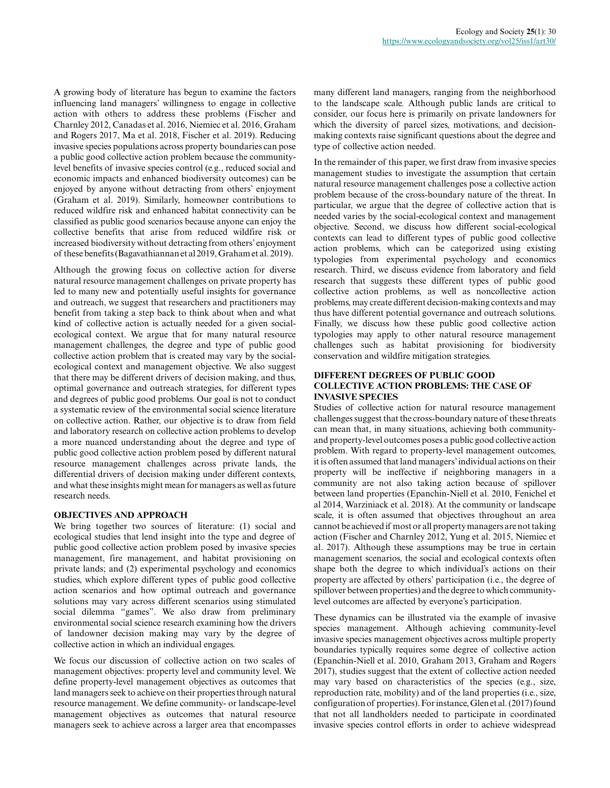A growing body of literature has begun to examine the factors influencing land managers' willingness to engage in collective action with others to address these problems (Fischer and Charnley 2012, Canadas et al. 2016, Niemiec et al. 2016, Graham and Rogers 2017, Ma et al. 2018, Fischer et al. 2019). Reducing invasive species populations across property boundaries can pose a public good collective action problem because the communitylevel benefits of invasive species control (e.g., reduced social and economic impacts and enhanced biodiversity outcomes) can be enjoyed by anyone without detracting from others' enjoyment (Graham et al. 2019). Similarly, homeowner contributions to reduced wildfire risk and enhanced habitat connectivity can be classified as public good scenarios because anyone can enjoy the collective benefits that arise from reduced wildfire risk or increased biodiversity without detracting from others' enjoyment of these benefits (Bagavathiannan et al 2019, Graham et al. 2019).

Although the growing focus on collective action for diverse natural resource management challenges on private property has led to many new and potentially useful insights for governance and outreach, we suggest that researchers and practitioners may benefit from taking a step back to think about when and what kind of collective action is actually needed for a given socialecological context. We argue that for many natural resource management challenges, the degree and type of public good collective action problem that is created may vary by the socialecological context and management objective. We also suggest that there may be different drivers of decision making, and thus, optimal governance and outreach strategies, for different types and degrees of public good problems. Our goal is not to conduct a systematic review of the environmental social science literature on collective action. Rather, our objective is to draw from field and laboratory research on collective action problems to develop a more nuanced understanding about the degree and type of public good collective action problem posed by different natural resource management challenges across private lands, the differential drivers of decision making under different contexts, and what these insights might mean for managers as well as future research needs.

# **OBJECTIVES AND APPROACH**

We bring together two sources of literature: (1) social and ecological studies that lend insight into the type and degree of public good collective action problem posed by invasive species management, fire management, and habitat provisioning on private lands; and (2) experimental psychology and economics studies, which explore different types of public good collective action scenarios and how optimal outreach and governance solutions may vary across different scenarios using stimulated social dilemma "games". We also draw from preliminary environmental social science research examining how the drivers of landowner decision making may vary by the degree of collective action in which an individual engages.

We focus our discussion of collective action on two scales of management objectives: property level and community level. We define property-level management objectives as outcomes that land managers seek to achieve on their properties through natural resource management. We define community- or landscape-level management objectives as outcomes that natural resource managers seek to achieve across a larger area that encompasses

many different land managers, ranging from the neighborhood to the landscape scale. Although public lands are critical to consider, our focus here is primarily on private landowners for which the diversity of parcel sizes, motivations, and decisionmaking contexts raise significant questions about the degree and type of collective action needed.

In the remainder of this paper, we first draw from invasive species management studies to investigate the assumption that certain natural resource management challenges pose a collective action problem because of the cross-boundary nature of the threat. In particular, we argue that the degree of collective action that is needed varies by the social-ecological context and management objective. Second, we discuss how different social-ecological contexts can lead to different types of public good collective action problems, which can be categorized using existing typologies from experimental psychology and economics research. Third, we discuss evidence from laboratory and field research that suggests these different types of public good collective action problems, as well as noncollective action problems, may create different decision-making contexts and may thus have different potential governance and outreach solutions. Finally, we discuss how these public good collective action typologies may apply to other natural resource management challenges such as habitat provisioning for biodiversity conservation and wildfire mitigation strategies.

## **DIFFERENT DEGREES OF PUBLIC GOOD COLLECTIVE ACTION PROBLEMS: THE CASE OF INVASIVE SPECIES**

Studies of collective action for natural resource management challenges suggest that the cross-boundary nature of these threats can mean that, in many situations, achieving both communityand property-level outcomes poses a public good collective action problem. With regard to property-level management outcomes, it is often assumed that land managers' individual actions on their property will be ineffective if neighboring managers in a community are not also taking action because of spillover between land properties (Epanchin-Niell et al. 2010, Fenichel et al 2014, Warziniack et al. 2018). At the community or landscape scale, it is often assumed that objectives throughout an area cannot be achieved if most or all property managers are not taking action (Fischer and Charnley 2012, Yung et al. 2015, Niemiec et al. 2017). Although these assumptions may be true in certain management scenarios, the social and ecological contexts often shape both the degree to which individual's actions on their property are affected by others' participation (i.e., the degree of spillover between properties) and the degree to which communitylevel outcomes are affected by everyone's participation.

These dynamics can be illustrated via the example of invasive species management. Although achieving community-level invasive species management objectives across multiple property boundaries typically requires some degree of collective action (Epanchin-Niell et al. 2010, Graham 2013, Graham and Rogers 2017), studies suggest that the extent of collective action needed may vary based on characteristics of the species (e.g., size, reproduction rate, mobility) and of the land properties (i.e., size, configuration of properties). For instance, Glen et al. (2017) found that not all landholders needed to participate in coordinated invasive species control efforts in order to achieve widespread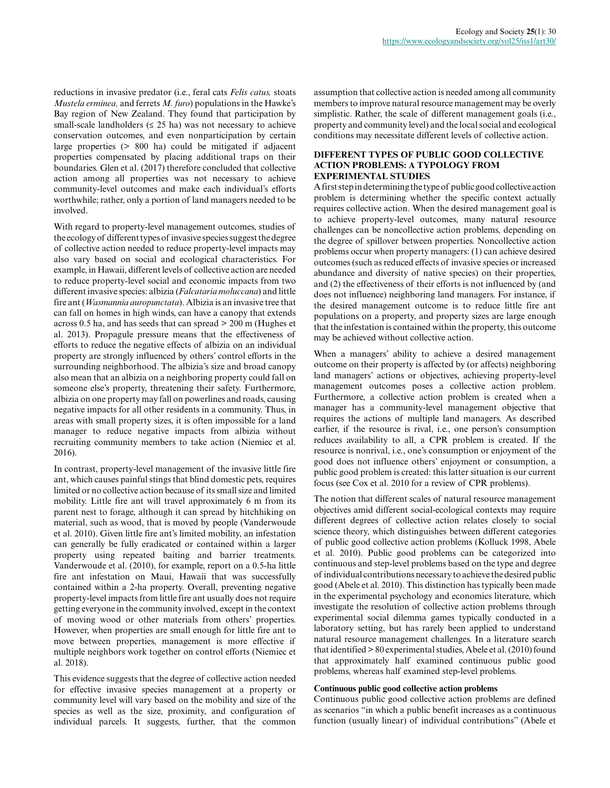reductions in invasive predator (i.e., feral cats *Felis catus,* stoats *Mustela erminea,* and ferrets *M. furo*) populations in the Hawke's Bay region of New Zealand. They found that participation by small-scale landholders ( $\leq$  25 ha) was not necessary to achieve conservation outcomes, and even nonparticipation by certain large properties (> 800 ha) could be mitigated if adjacent properties compensated by placing additional traps on their boundaries. Glen et al. (2017) therefore concluded that collective action among all properties was not necessary to achieve community-level outcomes and make each individual's efforts worthwhile; rather, only a portion of land managers needed to be involved.

With regard to property-level management outcomes, studies of the ecology of different types of invasive species suggest the degree of collective action needed to reduce property-level impacts may also vary based on social and ecological characteristics. For example, in Hawaii, different levels of collective action are needed to reduce property-level social and economic impacts from two different invasive species: albizia (*Falcataria moluccana*) and little fire ant (*Wasmannia auropunctata*). Albizia is an invasive tree that can fall on homes in high winds, can have a canopy that extends across 0.5 ha, and has seeds that can spread > 200 m (Hughes et al. 2013). Propagule pressure means that the effectiveness of efforts to reduce the negative effects of albizia on an individual property are strongly influenced by others' control efforts in the surrounding neighborhood. The albizia's size and broad canopy also mean that an albizia on a neighboring property could fall on someone else's property, threatening their safety. Furthermore, albizia on one property may fall on powerlines and roads, causing negative impacts for all other residents in a community. Thus, in areas with small property sizes, it is often impossible for a land manager to reduce negative impacts from albizia without recruiting community members to take action (Niemiec et al. 2016).

In contrast, property-level management of the invasive little fire ant, which causes painful stings that blind domestic pets, requires limited or no collective action because of its small size and limited mobility. Little fire ant will travel approximately 6 m from its parent nest to forage, although it can spread by hitchhiking on material, such as wood, that is moved by people (Vanderwoude et al. 2010). Given little fire ant's limited mobility, an infestation can generally be fully eradicated or contained within a larger property using repeated baiting and barrier treatments. Vanderwoude et al. (2010), for example, report on a 0.5-ha little fire ant infestation on Maui, Hawaii that was successfully contained within a 2-ha property. Overall, preventing negative property-level impacts from little fire ant usually does not require getting everyone in the community involved, except in the context of moving wood or other materials from others' properties. However, when properties are small enough for little fire ant to move between properties, management is more effective if multiple neighbors work together on control efforts (Niemiec et al. 2018).

This evidence suggests that the degree of collective action needed for effective invasive species management at a property or community level will vary based on the mobility and size of the species as well as the size, proximity, and configuration of individual parcels. It suggests, further, that the common assumption that collective action is needed among all community members to improve natural resource management may be overly simplistic. Rather, the scale of different management goals (i.e., property and community level) and the local social and ecological conditions may necessitate different levels of collective action.

## **DIFFERENT TYPES OF PUBLIC GOOD COLLECTIVE ACTION PROBLEMS: A TYPOLOGY FROM EXPERIMENTAL STUDIES**

A first step in determining the type of public good collective action problem is determining whether the specific context actually requires collective action. When the desired management goal is to achieve property-level outcomes, many natural resource challenges can be noncollective action problems, depending on the degree of spillover between properties. Noncollective action problems occur when property managers: (1) can achieve desired outcomes (such as reduced effects of invasive species or increased abundance and diversity of native species) on their properties, and (2) the effectiveness of their efforts is not influenced by (and does not influence) neighboring land managers. For instance, if the desired management outcome is to reduce little fire ant populations on a property, and property sizes are large enough that the infestation is contained within the property, this outcome may be achieved without collective action.

When a managers' ability to achieve a desired management outcome on their property is affected by (or affects) neighboring land managers' actions or objectives, achieving property-level management outcomes poses a collective action problem. Furthermore, a collective action problem is created when a manager has a community-level management objective that requires the actions of multiple land managers. As described earlier, if the resource is rival, i.e., one person's consumption reduces availability to all, a CPR problem is created. If the resource is nonrival, i.e., one's consumption or enjoyment of the good does not influence others' enjoyment or consumption, a public good problem is created: this latter situation is our current focus (see Cox et al. 2010 for a review of CPR problems).

The notion that different scales of natural resource management objectives amid different social-ecological contexts may require different degrees of collective action relates closely to social science theory, which distinguishes between different categories of public good collective action problems (Kolluck 1998, Abele et al. 2010). Public good problems can be categorized into continuous and step-level problems based on the type and degree of individual contributions necessary to achieve the desired public good (Abele et al. 2010). This distinction has typically been made in the experimental psychology and economics literature, which investigate the resolution of collective action problems through experimental social dilemma games typically conducted in a laboratory setting, but has rarely been applied to understand natural resource management challenges. In a literature search that identified > 80 experimental studies, Abele et al. (2010) found that approximately half examined continuous public good problems, whereas half examined step-level problems.

# **Continuous public good collective action problems**

Continuous public good collective action problems are defined as scenarios "in which a public benefit increases as a continuous function (usually linear) of individual contributions" (Abele et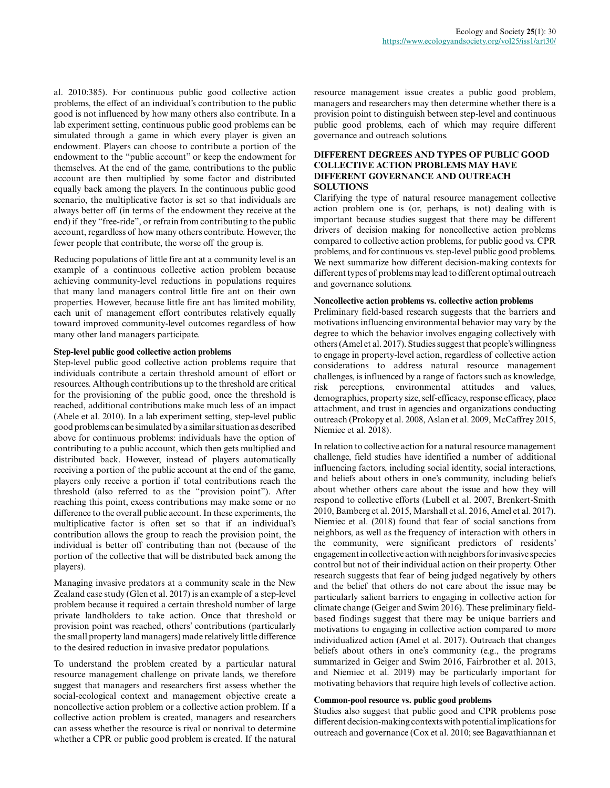al. 2010:385). For continuous public good collective action problems, the effect of an individual's contribution to the public good is not influenced by how many others also contribute. In a lab experiment setting, continuous public good problems can be simulated through a game in which every player is given an endowment. Players can choose to contribute a portion of the endowment to the "public account" or keep the endowment for themselves. At the end of the game, contributions to the public account are then multiplied by some factor and distributed equally back among the players. In the continuous public good scenario, the multiplicative factor is set so that individuals are always better off (in terms of the endowment they receive at the end) if they "free-ride", or refrain from contributing to the public account, regardless of how many others contribute. However, the fewer people that contribute, the worse off the group is.

Reducing populations of little fire ant at a community level is an example of a continuous collective action problem because achieving community-level reductions in populations requires that many land managers control little fire ant on their own properties. However, because little fire ant has limited mobility, each unit of management effort contributes relatively equally toward improved community-level outcomes regardless of how many other land managers participate.

## **Step-level public good collective action problems**

Step-level public good collective action problems require that individuals contribute a certain threshold amount of effort or resources. Although contributions up to the threshold are critical for the provisioning of the public good, once the threshold is reached, additional contributions make much less of an impact (Abele et al. 2010). In a lab experiment setting, step-level public good problems can be simulated by a similar situation as described above for continuous problems: individuals have the option of contributing to a public account, which then gets multiplied and distributed back. However, instead of players automatically receiving a portion of the public account at the end of the game, players only receive a portion if total contributions reach the threshold (also referred to as the "provision point"). After reaching this point, excess contributions may make some or no difference to the overall public account. In these experiments, the multiplicative factor is often set so that if an individual's contribution allows the group to reach the provision point, the individual is better off contributing than not (because of the portion of the collective that will be distributed back among the players).

Managing invasive predators at a community scale in the New Zealand case study (Glen et al. 2017) is an example of a step-level problem because it required a certain threshold number of large private landholders to take action. Once that threshold or provision point was reached, others' contributions (particularly the small property land managers) made relatively little difference to the desired reduction in invasive predator populations.

To understand the problem created by a particular natural resource management challenge on private lands, we therefore suggest that managers and researchers first assess whether the social-ecological context and management objective create a noncollective action problem or a collective action problem. If a collective action problem is created, managers and researchers can assess whether the resource is rival or nonrival to determine whether a CPR or public good problem is created. If the natural

resource management issue creates a public good problem, managers and researchers may then determine whether there is a provision point to distinguish between step-level and continuous public good problems, each of which may require different governance and outreach solutions.

## **DIFFERENT DEGREES AND TYPES OF PUBLIC GOOD COLLECTIVE ACTION PROBLEMS MAY HAVE DIFFERENT GOVERNANCE AND OUTREACH SOLUTIONS**

Clarifying the type of natural resource management collective action problem one is (or, perhaps, is not) dealing with is important because studies suggest that there may be different drivers of decision making for noncollective action problems compared to collective action problems, for public good vs. CPR problems, and for continuous vs. step-level public good problems. We next summarize how different decision-making contexts for different types of problems may lead to different optimal outreach and governance solutions.

#### **Noncollective action problems vs. collective action problems**

Preliminary field-based research suggests that the barriers and motivations influencing environmental behavior may vary by the degree to which the behavior involves engaging collectively with others (Amel et al. 2017). Studies suggest that people's willingness to engage in property-level action, regardless of collective action considerations to address natural resource management challenges, is influenced by a range of factors such as knowledge, risk perceptions, environmental attitudes and values, demographics, property size, self-efficacy, response efficacy, place attachment, and trust in agencies and organizations conducting outreach (Prokopy et al. 2008, Aslan et al. 2009, McCaffrey 2015, Niemiec et al. 2018).

In relation to collective action for a natural resource management challenge, field studies have identified a number of additional influencing factors, including social identity, social interactions, and beliefs about others in one's community, including beliefs about whether others care about the issue and how they will respond to collective efforts (Lubell et al. 2007, Brenkert-Smith 2010, Bamberg et al. 2015, Marshall et al. 2016, Amel et al. 2017). Niemiec et al. (2018) found that fear of social sanctions from neighbors, as well as the frequency of interaction with others in the community, were significant predictors of residents' engagement in collective action with neighbors for invasive species control but not of their individual action on their property. Other research suggests that fear of being judged negatively by others and the belief that others do not care about the issue may be particularly salient barriers to engaging in collective action for climate change (Geiger and Swim 2016). These preliminary fieldbased findings suggest that there may be unique barriers and motivations to engaging in collective action compared to more individualized action (Amel et al. 2017). Outreach that changes beliefs about others in one's community (e.g., the programs summarized in Geiger and Swim 2016, Fairbrother et al. 2013, and Niemiec et al. 2019) may be particularly important for motivating behaviors that require high levels of collective action.

#### **Common-pool resource vs. public good problems**

Studies also suggest that public good and CPR problems pose different decision-making contexts with potential implications for outreach and governance (Cox et al. 2010; see Bagavathiannan et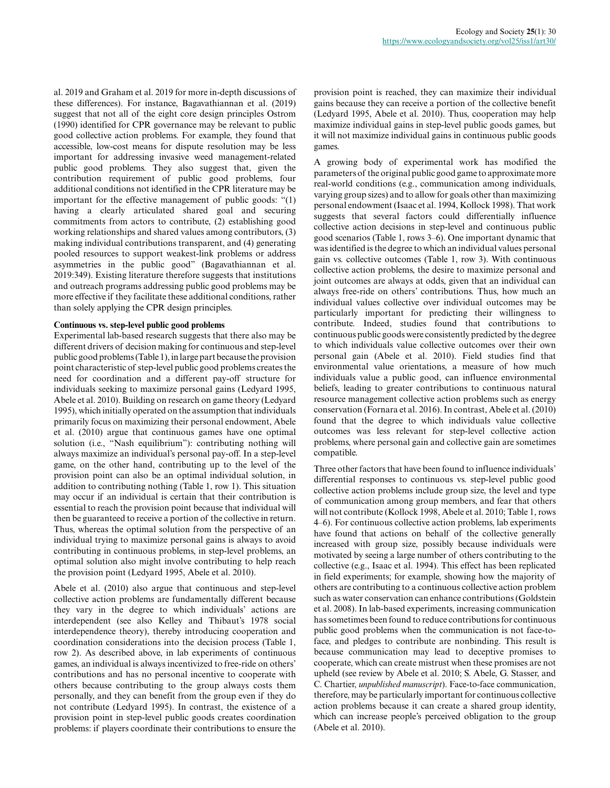al. 2019 and Graham et al. 2019 for more in-depth discussions of these differences). For instance, Bagavathiannan et al. (2019) suggest that not all of the eight core design principles Ostrom (1990) identified for CPR governance may be relevant to public good collective action problems. For example, they found that accessible, low-cost means for dispute resolution may be less important for addressing invasive weed management-related public good problems. They also suggest that, given the contribution requirement of public good problems, four additional conditions not identified in the CPR literature may be important for the effective management of public goods: "(1) having a clearly articulated shared goal and securing commitments from actors to contribute, (2) establishing good working relationships and shared values among contributors, (3) making individual contributions transparent, and (4) generating pooled resources to support weakest-link problems or address asymmetries in the public good" (Bagavathiannan et al. 2019:349). Existing literature therefore suggests that institutions and outreach programs addressing public good problems may be more effective if they facilitate these additional conditions, rather than solely applying the CPR design principles.

## **Continuous vs. step-level public good problems**

Experimental lab-based research suggests that there also may be different drivers of decision making for continuous and step-level public good problems (Table 1), in large part because the provision point characteristic of step-level public good problems creates the need for coordination and a different pay-off structure for individuals seeking to maximize personal gains (Ledyard 1995, Abele et al. 2010). Building on research on game theory (Ledyard 1995), which initially operated on the assumption that individuals primarily focus on maximizing their personal endowment, Abele et al. (2010) argue that continuous games have one optimal solution (i.e., "Nash equilibrium"): contributing nothing will always maximize an individual's personal pay-off. In a step-level game, on the other hand, contributing up to the level of the provision point can also be an optimal individual solution, in addition to contributing nothing (Table 1, row 1). This situation may occur if an individual is certain that their contribution is essential to reach the provision point because that individual will then be guaranteed to receive a portion of the collective in return. Thus, whereas the optimal solution from the perspective of an individual trying to maximize personal gains is always to avoid contributing in continuous problems, in step-level problems, an optimal solution also might involve contributing to help reach the provision point (Ledyard 1995, Abele et al. 2010).

Abele et al. (2010) also argue that continuous and step-level collective action problems are fundamentally different because they vary in the degree to which individuals' actions are interdependent (see also Kelley and Thibaut's 1978 social interdependence theory), thereby introducing cooperation and coordination considerations into the decision process (Table 1, row 2). As described above, in lab experiments of continuous games, an individual is always incentivized to free-ride on others' contributions and has no personal incentive to cooperate with others because contributing to the group always costs them personally, and they can benefit from the group even if they do not contribute (Ledyard 1995). In contrast, the existence of a provision point in step-level public goods creates coordination problems: if players coordinate their contributions to ensure the

provision point is reached, they can maximize their individual gains because they can receive a portion of the collective benefit (Ledyard 1995, Abele et al. 2010). Thus, cooperation may help maximize individual gains in step-level public goods games, but it will not maximize individual gains in continuous public goods games.

A growing body of experimental work has modified the parameters of the original public good game to approximate more real-world conditions (e.g., communication among individuals, varying group sizes) and to allow for goals other than maximizing personal endowment (Isaac et al. 1994, Kollock 1998). That work suggests that several factors could differentially influence collective action decisions in step-level and continuous public good scenarios (Table 1, rows 3–6). One important dynamic that was identified is the degree to which an individual values personal gain vs. collective outcomes (Table 1, row 3). With continuous collective action problems, the desire to maximize personal and joint outcomes are always at odds, given that an individual can always free-ride on others' contributions. Thus, how much an individual values collective over individual outcomes may be particularly important for predicting their willingness to contribute. Indeed, studies found that contributions to continuous public goods were consistently predicted by the degree to which individuals value collective outcomes over their own personal gain (Abele et al. 2010). Field studies find that environmental value orientations, a measure of how much individuals value a public good, can influence environmental beliefs, leading to greater contributions to continuous natural resource management collective action problems such as energy conservation (Fornara et al. 2016). In contrast, Abele et al. (2010) found that the degree to which individuals value collective outcomes was less relevant for step-level collective action problems, where personal gain and collective gain are sometimes compatible.

Three other factors that have been found to influence individuals' differential responses to continuous vs. step-level public good collective action problems include group size, the level and type of communication among group members, and fear that others will not contribute (Kollock 1998, Abele et al. 2010; Table 1, rows 4–6). For continuous collective action problems, lab experiments have found that actions on behalf of the collective generally increased with group size, possibly because individuals were motivated by seeing a large number of others contributing to the collective (e.g., Isaac et al. 1994). This effect has been replicated in field experiments; for example, showing how the majority of others are contributing to a continuous collective action problem such as water conservation can enhance contributions (Goldstein et al. 2008). In lab-based experiments, increasing communication has sometimes been found to reduce contributions for continuous public good problems when the communication is not face-toface, and pledges to contribute are nonbinding. This result is because communication may lead to deceptive promises to cooperate, which can create mistrust when these promises are not upheld (see review by Abele et al. 2010; S. Abele, G. Stasser, and C. Chartier, *unpublished manuscript*). Face-to-face communication, therefore, may be particularly important for continuous collective action problems because it can create a shared group identity, which can increase people's perceived obligation to the group (Abele et al. 2010).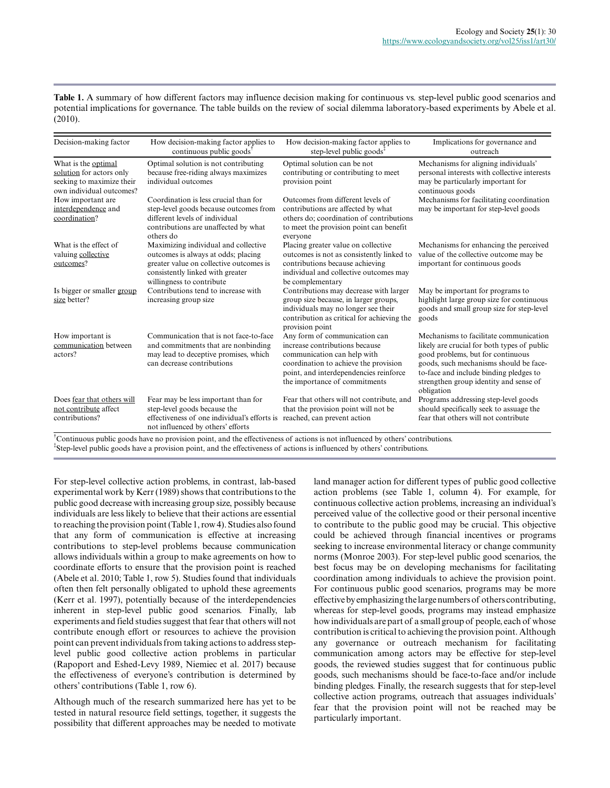Table 1. A summary of how different factors may influence decision making for continuous vs. step-level public good scenarios and potential implications for governance. The table builds on the review of social dilemma laboratory-based experiments by Abele et al. (2010).

| Decision-making factor                                                                                   | How decision-making factor applies to<br>continuous public goods <sup>1</sup>                                                                                                           | How decision-making factor applies to<br>step-level public goods <sup>+</sup>                                                                                                                                      | Implications for governance and<br>outreach                                                                                                                                                                                                                            |
|----------------------------------------------------------------------------------------------------------|-----------------------------------------------------------------------------------------------------------------------------------------------------------------------------------------|--------------------------------------------------------------------------------------------------------------------------------------------------------------------------------------------------------------------|------------------------------------------------------------------------------------------------------------------------------------------------------------------------------------------------------------------------------------------------------------------------|
| What is the optimal<br>solution for actors only<br>seeking to maximize their<br>own individual outcomes? | Optimal solution is not contributing<br>because free-riding always maximizes<br>individual outcomes                                                                                     | Optimal solution can be not<br>contributing or contributing to meet<br>provision point                                                                                                                             | Mechanisms for aligning individuals'<br>personal interests with collective interests<br>may be particularly important for<br>continuous goods                                                                                                                          |
| How important are<br>interdependence and<br>coordination?                                                | Coordination is less crucial than for<br>step-level goods because outcomes from<br>different levels of individual<br>contributions are unaffected by what<br>others do                  | Outcomes from different levels of<br>contributions are affected by what<br>others do: coordination of contributions<br>to meet the provision point can benefit<br>everyone                                         | Mechanisms for facilitating coordination<br>may be important for step-level goods                                                                                                                                                                                      |
| What is the effect of<br>valuing collective<br>outcomes?                                                 | Maximizing individual and collective<br>outcomes is always at odds; placing<br>greater value on collective outcomes is<br>consistently linked with greater<br>willingness to contribute | Placing greater value on collective<br>outcomes is not as consistently linked to<br>contributions because achieving<br>individual and collective outcomes may<br>be complementary                                  | Mechanisms for enhancing the perceived<br>value of the collective outcome may be<br>important for continuous goods                                                                                                                                                     |
| Is bigger or smaller group<br>size better?                                                               | Contributions tend to increase with<br>increasing group size                                                                                                                            | Contributions may decrease with larger<br>group size because, in larger groups,<br>individuals may no longer see their<br>contribution as critical for achieving the<br>provision point                            | May be important for programs to<br>highlight large group size for continuous<br>goods and small group size for step-level<br>goods                                                                                                                                    |
| How important is<br>communication between<br>actors?                                                     | Communication that is not face-to-face<br>and commitments that are nonbinding<br>may lead to deceptive promises, which<br>can decrease contributions                                    | Any form of communication can<br>increase contributions because<br>communication can help with<br>coordination to achieve the provision<br>point, and interdependencies reinforce<br>the importance of commitments | Mechanisms to facilitate communication<br>likely are crucial for both types of public<br>good problems, but for continuous<br>goods, such mechanisms should be face-<br>to-face and include binding pledges to<br>strengthen group identity and sense of<br>obligation |
| Does fear that others will<br>not contribute affect<br>contributions?                                    | Fear may be less important than for<br>step-level goods because the<br>effectiveness of one individual's efforts is<br>not influenced by others' efforts                                | Fear that others will not contribute, and<br>that the provision point will not be<br>reached, can prevent action                                                                                                   | Programs addressing step-level goods<br>should specifically seek to assuage the<br>fear that others will not contribute                                                                                                                                                |

†Continuous public goods have no provision point, and the effectiveness of actions is not influenced by others' contributions. ‡ Step-level public goods have a provision point, and the effectiveness of actions is influenced by others' contributions.

For step-level collective action problems, in contrast, lab-based experimental work by Kerr (1989) shows that contributions to the public good decrease with increasing group size, possibly because individuals are less likely to believe that their actions are essential to reaching the provision point (Table 1, row 4). Studies also found that any form of communication is effective at increasing contributions to step-level problems because communication allows individuals within a group to make agreements on how to coordinate efforts to ensure that the provision point is reached (Abele et al. 2010; Table 1, row 5). Studies found that individuals often then felt personally obligated to uphold these agreements (Kerr et al. 1997), potentially because of the interdependencies inherent in step-level public good scenarios. Finally, lab experiments and field studies suggest that fear that others will not contribute enough effort or resources to achieve the provision point can prevent individuals from taking actions to address steplevel public good collective action problems in particular (Rapoport and Eshed-Levy 1989, Niemiec et al. 2017) because the effectiveness of everyone's contribution is determined by others' contributions (Table 1, row 6).

Although much of the research summarized here has yet to be tested in natural resource field settings, together, it suggests the possibility that different approaches may be needed to motivate land manager action for different types of public good collective action problems (see Table 1, column 4). For example, for continuous collective action problems, increasing an individual's perceived value of the collective good or their personal incentive to contribute to the public good may be crucial. This objective could be achieved through financial incentives or programs seeking to increase environmental literacy or change community norms (Monroe 2003). For step-level public good scenarios, the best focus may be on developing mechanisms for facilitating coordination among individuals to achieve the provision point. For continuous public good scenarios, programs may be more effective by emphasizing the large numbers of others contributing, whereas for step-level goods, programs may instead emphasize how individuals are part of a small group of people, each of whose contribution is critical to achieving the provision point. Although any governance or outreach mechanism for facilitating communication among actors may be effective for step-level goods, the reviewed studies suggest that for continuous public goods, such mechanisms should be face-to-face and/or include binding pledges. Finally, the research suggests that for step-level collective action programs, outreach that assuages individuals' fear that the provision point will not be reached may be particularly important.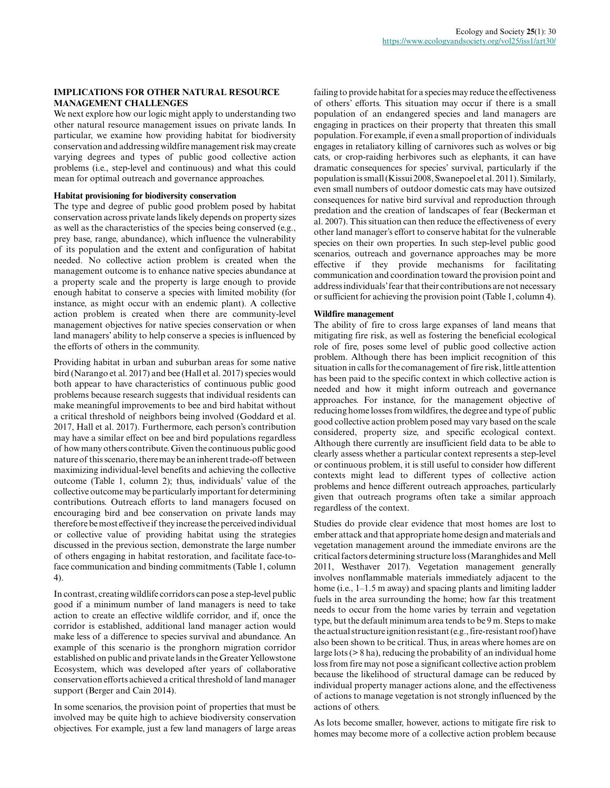# **IMPLICATIONS FOR OTHER NATURAL RESOURCE MANAGEMENT CHALLENGES**

We next explore how our logic might apply to understanding two other natural resource management issues on private lands. In particular, we examine how providing habitat for biodiversity conservation and addressing wildfire management risk may create varying degrees and types of public good collective action problems (i.e., step-level and continuous) and what this could mean for optimal outreach and governance approaches.

#### **Habitat provisioning for biodiversity conservation**

The type and degree of public good problem posed by habitat conservation across private lands likely depends on property sizes as well as the characteristics of the species being conserved (e.g., prey base, range, abundance), which influence the vulnerability of its population and the extent and configuration of habitat needed. No collective action problem is created when the management outcome is to enhance native species abundance at a property scale and the property is large enough to provide enough habitat to conserve a species with limited mobility (for instance, as might occur with an endemic plant). A collective action problem is created when there are community-level management objectives for native species conservation or when land managers' ability to help conserve a species is influenced by the efforts of others in the community.

Providing habitat in urban and suburban areas for some native bird (Narango et al. 2017) and bee (Hall et al. 2017) species would both appear to have characteristics of continuous public good problems because research suggests that individual residents can make meaningful improvements to bee and bird habitat without a critical threshold of neighbors being involved (Goddard et al. 2017, Hall et al. 2017). Furthermore, each person's contribution may have a similar effect on bee and bird populations regardless of how many others contribute. Given the continuous public good nature of this scenario, there may be an inherent trade-off between maximizing individual-level benefits and achieving the collective outcome (Table 1, column 2); thus, individuals' value of the collective outcome may be particularly important for determining contributions. Outreach efforts to land managers focused on encouraging bird and bee conservation on private lands may therefore be most effective if they increase the perceived individual or collective value of providing habitat using the strategies discussed in the previous section, demonstrate the large number of others engaging in habitat restoration, and facilitate face-toface communication and binding commitments (Table 1, column 4).

In contrast, creating wildlife corridors can pose a step-level public good if a minimum number of land managers is need to take action to create an effective wildlife corridor, and if, once the corridor is established, additional land manager action would make less of a difference to species survival and abundance. An example of this scenario is the pronghorn migration corridor established on public and private lands in the Greater Yellowstone Ecosystem, which was developed after years of collaborative conservation efforts achieved a critical threshold of land manager support (Berger and Cain 2014).

In some scenarios, the provision point of properties that must be involved may be quite high to achieve biodiversity conservation objectives. For example, just a few land managers of large areas failing to provide habitat for a species may reduce the effectiveness of others' efforts. This situation may occur if there is a small population of an endangered species and land managers are engaging in practices on their property that threaten this small population. For example, if even a small proportion of individuals engages in retaliatory killing of carnivores such as wolves or big cats, or crop-raiding herbivores such as elephants, it can have dramatic consequences for species' survival, particularly if the population is small (Kissui 2008, Swanepoel et al. 2011). Similarly, even small numbers of outdoor domestic cats may have outsized consequences for native bird survival and reproduction through predation and the creation of landscapes of fear (Beckerman et al. 2007). This situation can then reduce the effectiveness of every other land manager's effort to conserve habitat for the vulnerable species on their own properties. In such step-level public good scenarios, outreach and governance approaches may be more effective if they provide mechanisms for facilitating communication and coordination toward the provision point and address individuals' fear that their contributions are not necessary or sufficient for achieving the provision point (Table 1, column 4).

#### **Wildfire management**

The ability of fire to cross large expanses of land means that mitigating fire risk, as well as fostering the beneficial ecological role of fire, poses some level of public good collective action problem. Although there has been implicit recognition of this situation in calls for the comanagement of fire risk, little attention has been paid to the specific context in which collective action is needed and how it might inform outreach and governance approaches. For instance, for the management objective of reducing home losses from wildfires, the degree and type of public good collective action problem posed may vary based on the scale considered, property size, and specific ecological context. Although there currently are insufficient field data to be able to clearly assess whether a particular context represents a step-level or continuous problem, it is still useful to consider how different contexts might lead to different types of collective action problems and hence different outreach approaches, particularly given that outreach programs often take a similar approach regardless of the context.

Studies do provide clear evidence that most homes are lost to ember attack and that appropriate home design and materials and vegetation management around the immediate environs are the critical factors determining structure loss (Maranghides and Mell 2011, Westhaver 2017). Vegetation management generally involves nonflammable materials immediately adjacent to the home (i.e., 1–1.5 m away) and spacing plants and limiting ladder fuels in the area surrounding the home; how far this treatment needs to occur from the home varies by terrain and vegetation type, but the default minimum area tends to be 9 m. Steps to make the actual structure ignition resistant (e.g., fire-resistant roof) have also been shown to be critical. Thus, in areas where homes are on large lots (> 8 ha), reducing the probability of an individual home loss from fire may not pose a significant collective action problem because the likelihood of structural damage can be reduced by individual property manager actions alone, and the effectiveness of actions to manage vegetation is not strongly influenced by the actions of others.

As lots become smaller, however, actions to mitigate fire risk to homes may become more of a collective action problem because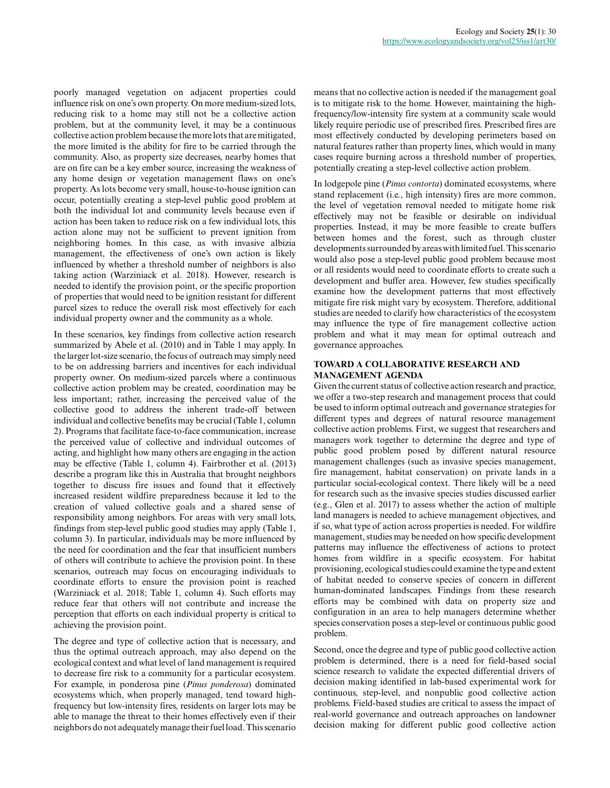poorly managed vegetation on adjacent properties could influence risk on one's own property. On more medium-sized lots, reducing risk to a home may still not be a collective action problem, but at the community level, it may be a continuous collective action problem because the more lots that are mitigated, the more limited is the ability for fire to be carried through the community. Also, as property size decreases, nearby homes that are on fire can be a key ember source, increasing the weakness of any home design or vegetation management flaws on one's property. As lots become very small, house-to-house ignition can occur, potentially creating a step-level public good problem at both the individual lot and community levels because even if action has been taken to reduce risk on a few individual lots, this action alone may not be sufficient to prevent ignition from neighboring homes. In this case, as with invasive albizia management, the effectiveness of one's own action is likely influenced by whether a threshold number of neighbors is also taking action (Warziniack et al. 2018). However, research is needed to identify the provision point, or the specific proportion of properties that would need to be ignition resistant for different parcel sizes to reduce the overall risk most effectively for each individual property owner and the community as a whole.

In these scenarios, key findings from collective action research summarized by Abele et al. (2010) and in Table 1 may apply. In the larger lot-size scenario, the focus of outreach may simply need to be on addressing barriers and incentives for each individual property owner. On medium-sized parcels where a continuous collective action problem may be created, coordination may be less important; rather, increasing the perceived value of the collective good to address the inherent trade-off between individual and collective benefits may be crucial (Table 1, column 2). Programs that facilitate face-to-face communication, increase the perceived value of collective and individual outcomes of acting, and highlight how many others are engaging in the action may be effective (Table 1, column 4). Fairbrother et al. (2013) describe a program like this in Australia that brought neighbors together to discuss fire issues and found that it effectively increased resident wildfire preparedness because it led to the creation of valued collective goals and a shared sense of responsibility among neighbors. For areas with very small lots, findings from step-level public good studies may apply (Table 1, column 3). In particular, individuals may be more influenced by the need for coordination and the fear that insufficient numbers of others will contribute to achieve the provision point. In these scenarios, outreach may focus on encouraging individuals to coordinate efforts to ensure the provision point is reached (Warziniack et al. 2018; Table 1, column 4). Such efforts may reduce fear that others will not contribute and increase the perception that efforts on each individual property is critical to achieving the provision point.

The degree and type of collective action that is necessary, and thus the optimal outreach approach, may also depend on the ecological context and what level of land management is required to decrease fire risk to a community for a particular ecosystem. For example, in ponderosa pine (*Pinus ponderosa*) dominated ecosystems which, when properly managed, tend toward highfrequency but low-intensity fires, residents on larger lots may be able to manage the threat to their homes effectively even if their neighbors do not adequately manage their fuel load. This scenario means that no collective action is needed if the management goal is to mitigate risk to the home. However, maintaining the highfrequency/low-intensity fire system at a community scale would likely require periodic use of prescribed fires. Prescribed fires are most effectively conducted by developing perimeters based on natural features rather than property lines, which would in many cases require burning across a threshold number of properties, potentially creating a step-level collective action problem.

In lodgepole pine (*Pinus contorta*) dominated ecosystems, where stand replacement (i.e., high intensity) fires are more common, the level of vegetation removal needed to mitigate home risk effectively may not be feasible or desirable on individual properties. Instead, it may be more feasible to create buffers between homes and the forest, such as through cluster developments surrounded by areas with limited fuel. This scenario would also pose a step-level public good problem because most or all residents would need to coordinate efforts to create such a development and buffer area. However, few studies specifically examine how the development patterns that most effectively mitigate fire risk might vary by ecosystem. Therefore, additional studies are needed to clarify how characteristics of the ecosystem may influence the type of fire management collective action problem and what it may mean for optimal outreach and governance approaches.

## **TOWARD A COLLABORATIVE RESEARCH AND MANAGEMENT AGENDA**

Given the current status of collective action research and practice, we offer a two-step research and management process that could be used to inform optimal outreach and governance strategies for different types and degrees of natural resource management collective action problems. First, we suggest that researchers and managers work together to determine the degree and type of public good problem posed by different natural resource management challenges (such as invasive species management, fire management, habitat conservation) on private lands in a particular social-ecological context. There likely will be a need for research such as the invasive species studies discussed earlier (e.g., Glen et al. 2017) to assess whether the action of multiple land managers is needed to achieve management objectives, and if so, what type of action across properties is needed. For wildfire management, studies may be needed on how specific development patterns may influence the effectiveness of actions to protect homes from wildfire in a specific ecosystem. For habitat provisioning, ecological studies could examine the type and extent of habitat needed to conserve species of concern in different human-dominated landscapes. Findings from these research efforts may be combined with data on property size and configuration in an area to help managers determine whether species conservation poses a step-level or continuous public good problem.

Second, once the degree and type of public good collective action problem is determined, there is a need for field-based social science research to validate the expected differential drivers of decision making identified in lab-based experimental work for continuous, step-level, and nonpublic good collective action problems. Field-based studies are critical to assess the impact of real-world governance and outreach approaches on landowner decision making for different public good collective action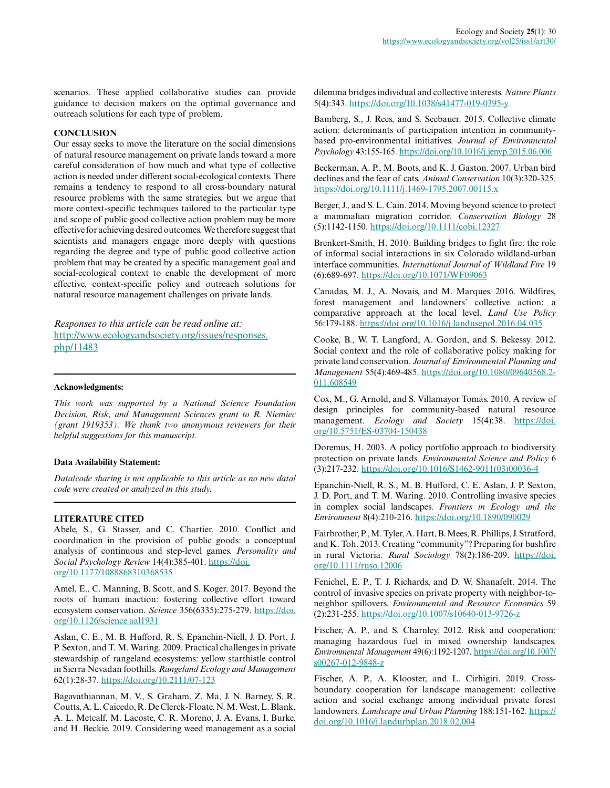scenarios. These applied collaborative studies can provide guidance to decision makers on the optimal governance and outreach solutions for each type of problem.

#### **CONCLUSION**

Our essay seeks to move the literature on the social dimensions of natural resource management on private lands toward a more careful consideration of how much and what type of collective action is needed under different social-ecological contexts. There remains a tendency to respond to all cross-boundary natural resource problems with the same strategies, but we argue that more context-specific techniques tailored to the particular type and scope of public good collective action problem may be more effective for achieving desired outcomes. We therefore suggest that scientists and managers engage more deeply with questions regarding the degree and type of public good collective action problem that may be created by a specific management goal and social-ecological context to enable the development of more effective, context-specific policy and outreach solutions for natural resource management challenges on private lands.

*Responses to this article can be read online at:* [http://www.ecologyandsociety.org/issues/responses.](http://www.ecologyandsociety.org/issues/responses.php/11483) [php/11483](http://www.ecologyandsociety.org/issues/responses.php/11483)

#### **Acknowledgments:**

*This work was supported by a National Science Foundation Decision, Risk, and Management Sciences grant to R. Niemiec (grant 1919353). We thank two anonymous reviewers for their helpful suggestions for this manuscript.*

# **Data Availability Statement:**

*Data/code sharing is not applicable to this article as no new data/ code were created or analyzed in this study.*

#### **LITERATURE CITED**

Abele, S., G. Stasser, and C. Chartier. 2010. Conflict and coordination in the provision of public goods: a conceptual analysis of continuous and step-level games. *Personality and Social Psychology Review* 14(4):385-401. [https://doi.](https://doi.org/10.1177/1088868310368535) [org/10.1177/1088868310368535](https://doi.org/10.1177/1088868310368535)

Amel, E., C. Manning, B. Scott, and S. Koger. 2017. Beyond the roots of human inaction: fostering collective effort toward ecosystem conservation. *Science* 356(6335):275-279. [https://doi.](https://doi.org/10.1126/science.aal1931) [org/10.1126/science.aal1931](https://doi.org/10.1126/science.aal1931)

Aslan, C. E., M. B. Hufford, R. S. Epanchin-Niell, J. D. Port, J. P. Sexton, and T. M. Waring. 2009. Practical challenges in private stewardship of rangeland ecosystems: yellow starthistle control in Sierra Nevadan foothills. *Rangeland Ecology and Management* 62(1):28-37. <https://doi.org/10.2111/07-123>

Bagavathiannan, M. V., S. Graham, Z. Ma, J. N. Barney, S. R. Coutts, A. L. Caicedo, R. De Clerck-Floate, N. M. West, L. Blank, A. L. Metcalf, M. Lacoste, C. R. Moreno, J. A. Evans, I. Burke, and H. Beckie. 2019. Considering weed management as a social dilemma bridges individual and collective interests. *Nature Plants* 5(4):343. <https://doi.org/10.1038/s41477-019-0395-y>

Bamberg, S., J. Rees, and S. Seebauer. 2015. Collective climate action: determinants of participation intention in communitybased pro-environmental initiatives. *Journal of Environmental Psychology* 43:155-165. <https://doi.org/10.1016/j.jenvp.2015.06.006>

Beckerman, A. P., M. Boots, and K. J. Gaston. 2007. Urban bird declines and the fear of cats. *Animal Conservation* 10(3):320-325. <https://doi.org/10.1111/j.1469-1795.2007.00115.x>

Berger, J., and S. L. Cain. 2014. Moving beyond science to protect a mammalian migration corridor. *Conservation Biology* 28 (5):1142-1150. <https://doi.org/10.1111/cobi.12327>

Brenkert-Smith, H. 2010. Building bridges to fight fire: the role of informal social interactions in six Colorado wildland-urban interface communities. *International Journal of Wildland Fire* 19 (6):689-697. <https://doi.org/10.1071/WF09063>

Canadas, M. J., A. Novais, and M. Marques. 2016. Wildfires, forest management and landowners' collective action: a comparative approach at the local level. *Land Use Policy* 56:179-188.<https://doi.org/10.1016/j.landusepol.2016.04.035>

Cooke, B., W. T. Langford, A. Gordon, and S. Bekessy. 2012. Social context and the role of collaborative policy making for private land conservation. *Journal of Environmental Planning and Management* 55(4):469-485. [https://doi.org/10.1080/09640568.2](https://doi.org/10.1080/09640568.2011.608549) [011.608549](https://doi.org/10.1080/09640568.2011.608549) 

Cox, M., G. Arnold, and S. Villamayor Tomás. 2010. A review of design principles for community-based natural resource management. *Ecology and Society* 15(4):38. [https://doi.](https://doi.org/10.5751/ES-03704-150438) [org/10.5751/ES-03704-150438](https://doi.org/10.5751/ES-03704-150438) 

Doremus, H. 2003. A policy portfolio approach to biodiversity protection on private lands. *Environmental Science and Policy* 6 (3):217-232. [https://doi.org/10.1016/S1462-9011\(03\)00036-4](https://doi.org/10.1016/S1462-9011(03)00036-4)

Epanchin-Niell, R. S., M. B. Hufford, C. E. Aslan, J. P. Sexton, J. D. Port, and T. M. Waring. 2010. Controlling invasive species in complex social landscapes. *Frontiers in Ecology and the Environment* 8(4):210-216. <https://doi.org/10.1890/090029>

Fairbrother, P., M. Tyler, A. Hart, B. Mees, R. Phillips, J. Stratford, and K. Toh. 2013. Creating "community"? Preparing for bushfire in rural Victoria. *Rural Sociology* 78(2):186-209. [https://doi.](https://doi.org/10.1111/ruso.12006) [org/10.1111/ruso.12006](https://doi.org/10.1111/ruso.12006) 

Fenichel, E. P., T. J. Richards, and D. W. Shanafelt. 2014. The control of invasive species on private property with neighbor-toneighbor spillovers. *Environmental and Resource Economics* 59 (2):231-255. <https://doi.org/10.1007/s10640-013-9726-z>

Fischer, A. P., and S. Charnley. 2012. Risk and cooperation: managing hazardous fuel in mixed ownership landscapes. *Environmental Management* 49(6):1192-1207. [https://doi.org/10.1007/](https://doi.org/10.1007/s00267-012-9848-z) [s00267-012-9848-z](https://doi.org/10.1007/s00267-012-9848-z)

Fischer, A. P., A. Klooster, and L. Cirhigiri. 2019. Crossboundary cooperation for landscape management: collective action and social exchange among individual private forest landowners. *Landscape and Urban Planning* 188:151-162. [https://](https://doi.org/10.1016/j.landurbplan.2018.02.004) [doi.org/10.1016/j.landurbplan.2018.02.004](https://doi.org/10.1016/j.landurbplan.2018.02.004)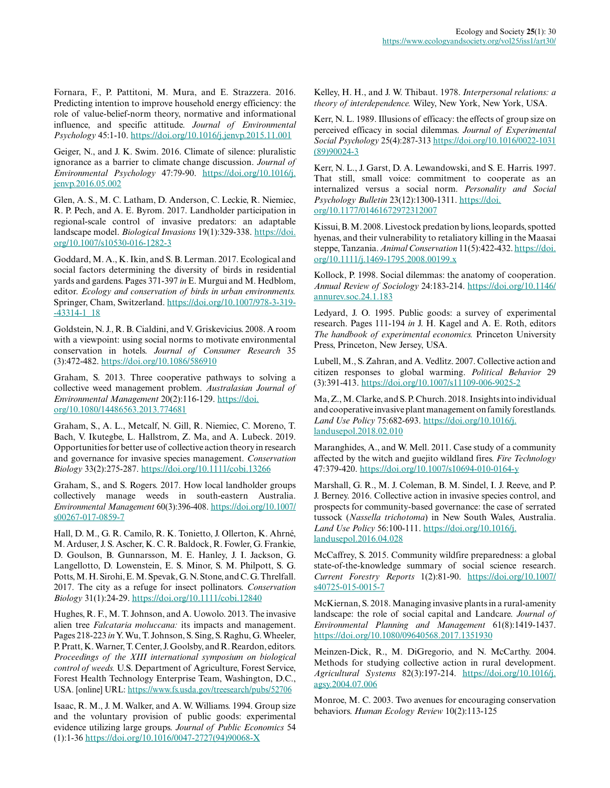Fornara, F., P. Pattitoni, M. Mura, and E. Strazzera. 2016. Predicting intention to improve household energy efficiency: the role of value-belief-norm theory, normative and informational influence, and specific attitude. *Journal of Environmental Psychology* 45:1-10.<https://doi.org/10.1016/j.jenvp.2015.11.001>

Geiger, N., and J. K. Swim. 2016. Climate of silence: pluralistic ignorance as a barrier to climate change discussion. *Journal of Environmental Psychology* 47:79-90. [https://doi.org/10.1016/j.](https://doi.org/10.1016/j.jenvp.2016.05.002) [jenvp.2016.05.002](https://doi.org/10.1016/j.jenvp.2016.05.002) 

Glen, A. S., M. C. Latham, D. Anderson, C. Leckie, R. Niemiec, R. P. Pech, and A. E. Byrom. 2017. Landholder participation in regional-scale control of invasive predators: an adaptable landscape model. *Biological Invasions* 19(1):329-338. [https://doi.](https://doi.org/10.1007/s10530-016-1282-3) [org/10.1007/s10530-016-1282-3](https://doi.org/10.1007/s10530-016-1282-3)

Goddard, M. A., K. Ikin, and S. B. Lerman. 2017. Ecological and social factors determining the diversity of birds in residential yards and gardens. Pages 371-397 *in* E. Murgui and M. Hedblom, editor. *Ecology and conservation of birds in urban environments.* Springer, Cham, Switzerland. [https://doi.org/10.1007/978-3-319](https://doi.org/10.1007/978-3-319-43314-1_18) [-43314-1\\_18](https://doi.org/10.1007/978-3-319-43314-1_18)

Goldstein, N. J., R. B. Cialdini, and V. Griskevicius. 2008. A room with a viewpoint: using social norms to motivate environmental conservation in hotels. *Journal of Consumer Research* 35 (3):472-482. <https://doi.org/10.1086/586910>

Graham, S. 2013. Three cooperative pathways to solving a collective weed management problem. *Australasian Journal of Environmental Management* 20(2):116-129. [https://doi.](https://doi.org/10.1080/14486563.2013.774681) [org/10.1080/14486563.2013.774681](https://doi.org/10.1080/14486563.2013.774681)

Graham, S., A. L., Metcalf, N. Gill, R. Niemiec, C. Moreno, T. Bach, V. Ikutegbe, L. Hallstrom, Z. Ma, and A. Lubeck. 2019. Opportunities for better use of collective action theory in research and governance for invasive species management. *Conservation Biology* 33(2):275-287. <https://doi.org/10.1111/cobi.13266>

Graham, S., and S. Rogers. 2017. How local landholder groups collectively manage weeds in south-eastern Australia. *Environmental Management* 60(3):396-408. [https://doi.org/10.1007/](https://doi.org/10.1007/s00267-017-0859-7) [s00267-017-0859-7](https://doi.org/10.1007/s00267-017-0859-7) 

Hall, D. M., G. R. Camilo, R. K. Tonietto, J. Ollerton, K. Ahrné, M. Arduser, J. S. Ascher, K. C. R. Baldock, R. Fowler, G. Frankie, D. Goulson, B. Gunnarsson, M. E. Hanley, J. I. Jackson, G. Langellotto, D. Lowenstein, E. S. Minor, S. M. Philpott, S. G. Potts, M. H. Sirohi, E. M. Spevak, G. N. Stone, and C. G. Threlfall. 2017. The city as a refuge for insect pollinators. *Conservation Biology* 31(1):24-29. <https://doi.org/10.1111/cobi.12840>

Hughes, R. F., M. T. Johnson, and A. Uowolo. 2013. The invasive alien tree *Falcataria moluccana:* its impacts and management. Pages 218-223 *in* Y. Wu, T. Johnson, S. Sing, S. Raghu, G. Wheeler, P. Pratt, K. Warner, T. Center, J. Goolsby, and R. Reardon, editors. *Proceedings of the XIII international symposium on biological control of weeds.* U.S. Department of Agriculture, Forest Service, Forest Health Technology Enterprise Team, Washington, D.C., USA. [online] URL:<https://www.fs.usda.gov/treesearch/pubs/52706>

Isaac, R. M., J. M. Walker, and A. W. Williams. 1994. Group size and the voluntary provision of public goods: experimental evidence utilizing large groups. *Journal of Public Economics* 54 (1):1-36 [https://doi.org/10.1016/0047-2727\(94\)90068-X](https://doi.org/10.1016/0047-2727(94)90068-X)

Kelley, H. H., and J. W. Thibaut. 1978. *Interpersonal relations: a theory of interdependence.* Wiley, New York, New York, USA.

Kerr, N. L. 1989. Illusions of efficacy: the effects of group size on perceived efficacy in social dilemmas. *Journal of Experimental Social Psychology* 25(4):287-313 [https://doi.org/10.1016/0022-1031](https://doi.org/10.1016/0022-1031(89)90024-3) [\(89\)90024-3](https://doi.org/10.1016/0022-1031(89)90024-3) 

Kerr, N. L., J. Garst, D. A. Lewandowski, and S. E. Harris. 1997. That still, small voice: commitment to cooperate as an internalized versus a social norm. *Personality and Social Psychology Bulletin* 23(12):1300-1311. [https://doi.](https://doi.org/10.1177/01461672972312007) [org/10.1177/01461672972312007](https://doi.org/10.1177/01461672972312007) 

Kissui, B. M. 2008. Livestock predation by lions, leopards, spotted hyenas, and their vulnerability to retaliatory killing in the Maasai steppe, Tanzania. *Animal Conservation* 11(5):422-432. [https://doi.](https://doi.org/10.1111/j.1469-1795.2008.00199.x) [org/10.1111/j.1469-1795.2008.00199.x](https://doi.org/10.1111/j.1469-1795.2008.00199.x)

Kollock, P. 1998. Social dilemmas: the anatomy of cooperation. *Annual Review of Sociology* 24:183-214. [https://doi.org/10.1146/](https://doi.org/10.1146/annurev.soc.24.1.183) [annurev.soc.24.1.183](https://doi.org/10.1146/annurev.soc.24.1.183)

Ledyard, J. O. 1995. Public goods: a survey of experimental research. Pages 111-194 *in* J. H. Kagel and A. E. Roth, editors *The handbook of experimental economics.* Princeton University Press, Princeton, New Jersey, USA.

Lubell, M., S. Zahran, and A. Vedlitz. 2007. Collective action and citizen responses to global warming. *Political Behavior* 29 (3):391-413. <https://doi.org/10.1007/s11109-006-9025-2>

Ma, Z., M. Clarke, and S. P. Church. 2018. Insights into individual and cooperative invasive plant management on family forestlands. *Land Use Policy* 75:682-693. [https://doi.org/10.1016/j.](https://doi.org/10.1016/j.landusepol.2018.02.010) [landusepol.2018.02.010](https://doi.org/10.1016/j.landusepol.2018.02.010)

Maranghides, A., and W. Mell. 2011. Case study of a community affected by the witch and guejito wildland fires. *Fire Technology* 47:379-420.<https://doi.org/10.1007/s10694-010-0164-y>

Marshall, G. R., M. J. Coleman, B. M. Sindel, I. J. Reeve, and P. J. Berney. 2016. Collective action in invasive species control, and prospects for community-based governance: the case of serrated tussock (*Nassella trichotoma*) in New South Wales, Australia. *Land Use Policy* 56:100-111. [https://doi.org/10.1016/j.](https://doi.org/10.1016/j.landusepol.2016.04.028) [landusepol.2016.04.028](https://doi.org/10.1016/j.landusepol.2016.04.028)

McCaffrey, S. 2015. Community wildfire preparedness: a global state-of-the-knowledge summary of social science research. *Current Forestry Reports* 1(2):81-90. [https://doi.org/10.1007/](https://doi.org/10.1007/s40725-015-0015-7) [s40725-015-0015-7](https://doi.org/10.1007/s40725-015-0015-7) 

McKiernan, S. 2018. Managing invasive plants in a rural-amenity landscape: the role of social capital and Landcare. *Journal of Environmental Planning and Management* 61(8):1419-1437. <https://doi.org/10.1080/09640568.2017.1351930>

Meinzen-Dick, R., M. DiGregorio, and N. McCarthy. 2004. Methods for studying collective action in rural development. *Agricultural Systems* 82(3):197-214. [https://doi.org/10.1016/j.](https://doi.org/10.1016/j.agsy.2004.07.006) [agsy.2004.07.006](https://doi.org/10.1016/j.agsy.2004.07.006) 

Monroe, M. C. 2003. Two avenues for encouraging conservation behaviors. *Human Ecology Review* 10(2):113-125